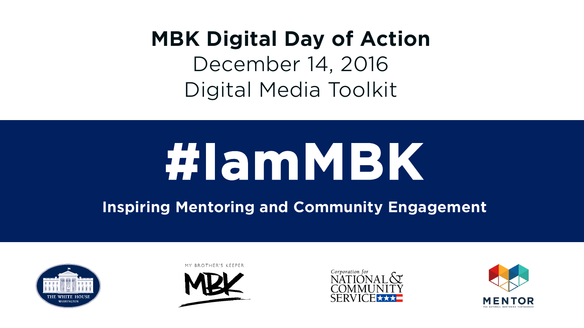# **MBK Digital Day of Action**

December 14, 2016 Digital Media Toolkit

# **#IamMBK**

**Inspiring Mentoring and Community Engagement**









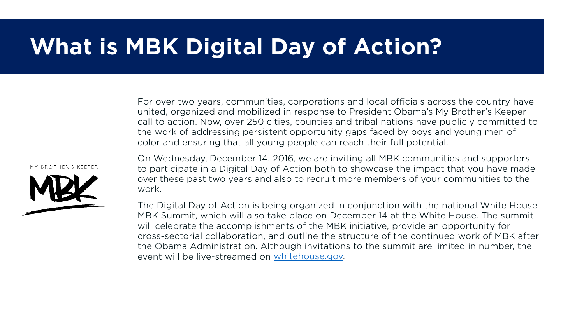# **What is MBK Digital Day of Action?**

For over two years, communities, corporations and local officials across the country have united, organized and mobilized in response to President Obama's My Brother's Keeper call to action. Now, over 250 cities, counties and tribal nations have publicly committed to the work of addressing persistent opportunity gaps faced by boys and young men of color and ensuring that all young people can reach their full potential.

**BROTHER'S KEEPER** 



On Wednesday, December 14, 2016, we are inviting all MBK communities and supporters to participate in a Digital Day of Action both to showcase the impact that you have made over these past two years and also to recruit more members of your communities to the work.

The Digital Day of Action is being organized in conjunction with the national White House MBK Summit, which will also take place on December 14 at the White House. The summit will celebrate the accomplishments of the MBK initiative, provide an opportunity for cross-sectorial collaboration, and outline the structure of the continued work of MBK after the Obama Administration. Although invitations to the summit are limited in number, the event will be live-streamed on [whitehouse.gov.](http://www.whitehouse.gov/)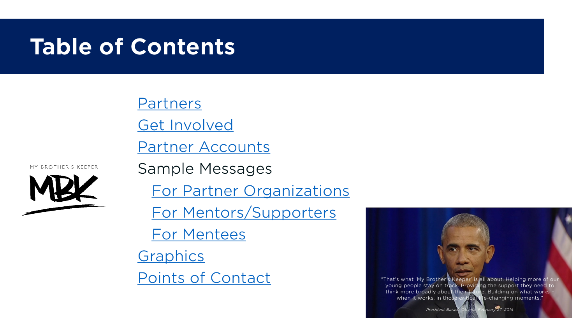# **Table of Contents**

**[Partners](#page-3-0)** 

[Get Involved](#page-4-0)

[Partner Accounts](#page-5-0)





[For Partner Organizations](#page-6-0)

[For Mentors/Supporters](#page-7-0)

[For Mentees](#page-8-0)

**[Graphics](#page-9-0)** 

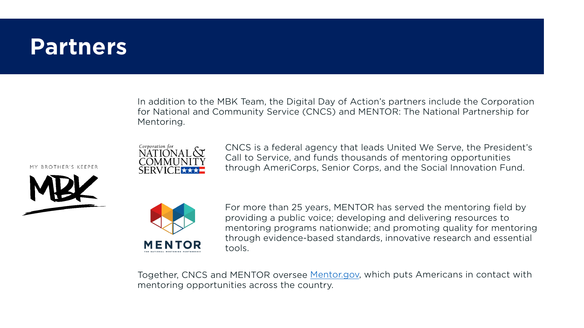### <span id="page-3-0"></span>**Partners**

In addition to the MBK Team, the Digital Day of Action's partners include the Corporation for National and Community Service (CNCS) and MENTOR: The National Partnership for Mentoring.

**BROTHER'S KEEPER** 





CNCS is a federal agency that leads United We Serve, the President's Call to Service, and funds thousands of mentoring opportunities through AmeriCorps, Senior Corps, and the Social Innovation Fund.



For more than 25 years, MENTOR has served the mentoring field by providing a public voice; developing and delivering resources to mentoring programs nationwide; and promoting quality for mentoring through evidence-based standards, innovative research and essential tools.

Together, CNCS and MENTOR oversee [Mentor.gov,](http://www.mentor.gov/) which puts Americans in contact with mentoring opportunities across the country.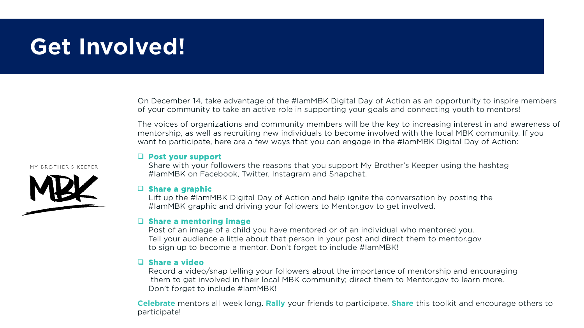# <span id="page-4-0"></span>**Get Involved!**

On December 14, take advantage of the #IamMBK Digital Day of Action as an opportunity to inspire members of your community to take an active role in supporting your goals and connecting youth to mentors!

The voices of organizations and community members will be the key to increasing interest in and awareness of mentorship, as well as recruiting new individuals to become involved with the local MBK community. If you want to participate, here are a few ways that you can engage in the #IamMBK Digital Day of Action:

#### **Post your support**

Share with your followers the reasons that you support My Brother's Keeper using the hashtag #IamMBK on Facebook, Twitter, Instagram and Snapchat.

#### **Share a graphic**

Lift up the #IamMBK Digital Day of Action and help ignite the conversation by posting the #IamMBK graphic and driving your followers to Mentor.gov to get involved.

#### **Share a mentoring image**

Post of an image of a child you have mentored or of an individual who mentored you. Tell your audience a little about that person in your post and direct them to mentor.gov to sign up to become a mentor. Don't forget to include #IamMBK!

#### **Share a video**

Record a video/snap telling your followers about the importance of mentorship and encouraging them to get involved in their local MBK community; direct them to Mentor.gov to learn more. Don't forget to include #IamMBK!

**Celebrate** mentors all week long. **Rally** your friends to participate. **Share** this toolkit and encourage others to participate!

#### MY BROTHER'S KEEPER

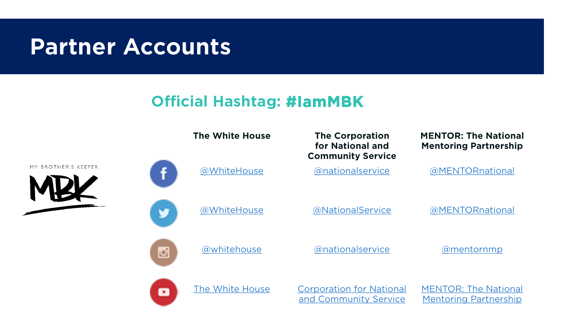## <span id="page-5-0"></span>**Partner Accounts**

### **Official Hashtag: #IamMBK**

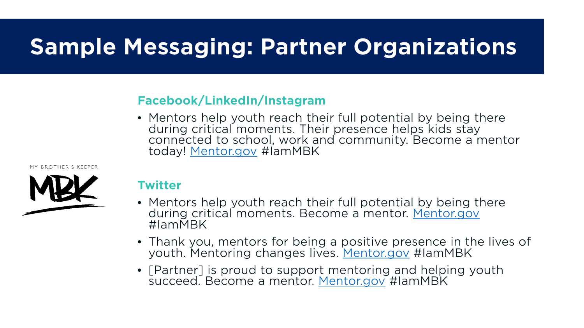# <span id="page-6-0"></span>**Sample Messaging: Partner Organizations**

### **Facebook/LinkedIn/Instagram**

• Mentors help youth reach their full potential by being there during critical moments. Their presence helps kids stay connected to school, work and community. Become a mentor today! [Mentor.gov](http://www.mentor.gov/) #IamMBK

MY BROTHER'S KEEPER



### **Twitter**

- Mentors help youth reach their full potential by being there during critical moments. Become a mentor. [Mentor.gov](http://www.mentor.gov/) #IamMBK
- Thank you, mentors for being a positive presence in the lives of youth. Mentoring changes lives. [Mentor.gov](http://www.mentor.gov/) #IamMBK
- [Partner] is proud to support mentoring and helping youth succeed. Become a mentor. [Mentor.gov](http://www.mentor.gov/) #IamMBK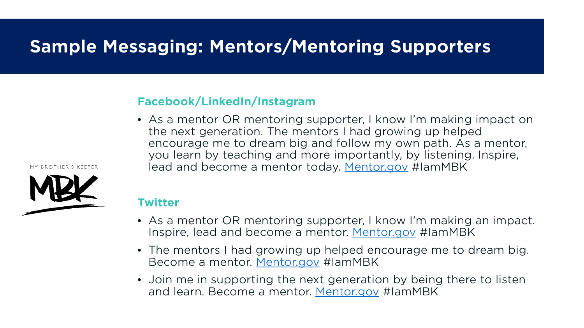### <span id="page-7-0"></span>**Sample Messaging: Mentors/Mentoring Supporters**

### **Facebook/LinkedIn/Instagram**

• As a mentor OR mentoring supporter, I know I'm making impact on the next generation. The mentors I had growing up helped encourage me to dream big and follow my own path. As a mentor, you learn by teaching and more importantly, by listening. Inspire, lead and become a mentor today. [Mentor.gov](http://www.mentor.gov/) #IamMBK

**BROTHER'S KEEPEE** 



#### **Twitter**

- As a mentor OR mentoring supporter, I know I'm making an impact. Inspire, lead and become a mentor. [Mentor.gov](http://www.mentor.gov/) #IamMBK
- The mentors I had growing up helped encourage me to dream big. Become a mentor. [Mentor.gov](http://www.mentor.gov/) #IamMBK
- Join me in supporting the next generation by being there to listen and learn. Become a mentor. [Mentor.gov](http://www.mentor.gov/) #IamMBK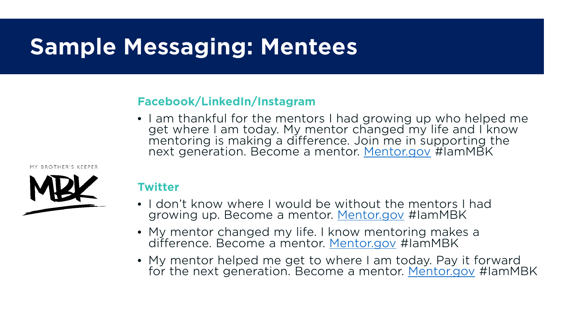# <span id="page-8-0"></span>**Sample Messaging: Mentees**

### **Facebook/LinkedIn/Instagram**

• I am thankful for the mentors I had growing up who helped me get where I am today. My mentor changed my life and I know mentoring is making a difference. Join me in supporting the next generation. Become a mentor. [Mentor.gov](http://www.mentor.gov/) #IamMBK

MY RROTHER'S KEEPER



### **Twitter**

- I don't know where I would be without the mentors I had growing up. Become a mentor. [Mentor.gov](http://www.mentor.gov/) #IamMBK
- My mentor changed my life. I know mentoring makes a difference. Become a mentor. [Mentor.gov](http://www.mentor.gov/) #IamMBK
- My mentor helped me get to where I am today. Pay it forward for the next generation. Become a mentor. [Mentor.gov](http://www.mentor.gov/) #IamMBK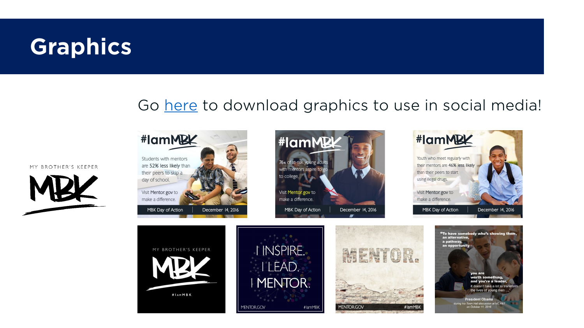# <span id="page-9-0"></span>**Graphics**

### Go [here](https://mentoring.imagerelay.com/fl/94b29e5fb96344cd9c903c5e39049267) to download graphics to use in social media!









MY BROTHER'S KEEPER

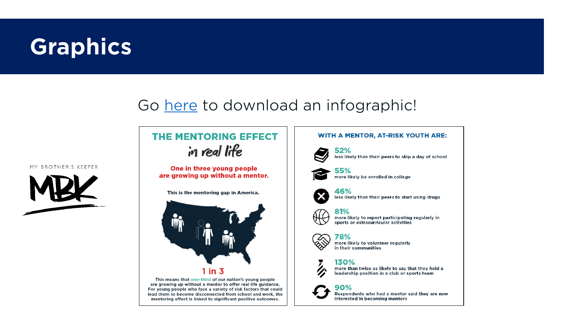# **Graphics**

### Go [here](https://mentoring.imagerelay.com/fl/94b29e5fb96344cd9c903c5e39049267) to download an infographic!

#### MY BROTHER'S KEEPER



### **THE MENTORING EFFECT** in real life

One in three young people are growing up without a mentor.

This is the mentoring gap in America.



This means that one-third of our nation's young people are growing up without a mentor to offer real life guidance. For young people who face a variety of risk factors that could lead them to become disconnected from school and work, the mentoring effect is linked to significant positive outcomes.

## **WITH A MENTOR, AT-RISK YOUTH ARE:**



52% less likely than their peers to skip a day of school



55% more likely be enrolled in college



46% less likely than their peers to start using drugs



81% more likely to report participating regularly in sports or extracurricular activities

#### 78%

more likely to volunteer regularly in their communities

#### 130%



more than twice as likely to say that they held a leadership position in a club or sports team

#### 90%

Respondents who had a mentor said they are now interested in becoming mentors